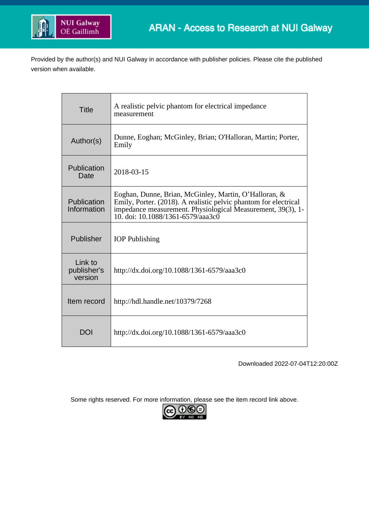

Provided by the author(s) and NUI Galway in accordance with publisher policies. Please cite the published version when available.

| <b>Title</b>                      | A realistic pelvic phantom for electrical impedance<br>measurement                                                                                                                                                            |  |  |
|-----------------------------------|-------------------------------------------------------------------------------------------------------------------------------------------------------------------------------------------------------------------------------|--|--|
| Author(s)                         | Dunne, Eoghan; McGinley, Brian; O'Halloran, Martin; Porter,<br>Emily                                                                                                                                                          |  |  |
| Publication<br>Date               | 2018-03-15                                                                                                                                                                                                                    |  |  |
| Publication<br>Information        | Eoghan, Dunne, Brian, McGinley, Martin, O'Halloran, &<br>Emily, Porter. (2018). A realistic pelvic phantom for electrical<br>impedance measurement. Physiological Measurement, 39(3), 1-<br>10. doi: 10.1088/1361-6579/aaa3c0 |  |  |
| Publisher                         | <b>IOP</b> Publishing                                                                                                                                                                                                         |  |  |
| Link to<br>publisher's<br>version | http://dx.doi.org/10.1088/1361-6579/aaa3c0                                                                                                                                                                                    |  |  |
| Item record                       | http://hdl.handle.net/10379/7268                                                                                                                                                                                              |  |  |
| DOI                               | http://dx.doi.org/10.1088/1361-6579/aaa3c0                                                                                                                                                                                    |  |  |

Downloaded 2022-07-04T12:20:00Z

Some rights reserved. For more information, please see the item record link above.

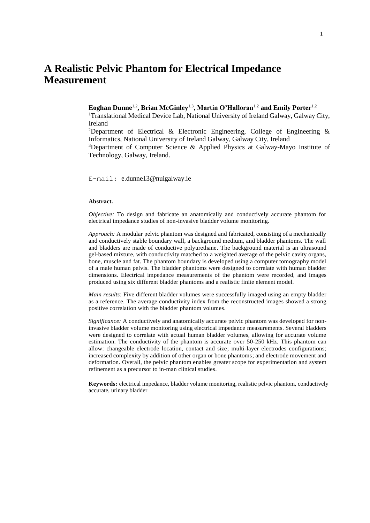# **A Realistic Pelvic Phantom for Electrical Impedance Measurement**

# **Eoghan Dunne**1,2**, Brian McGinley**1,3**, Martin O'Halloran**1,2 **and Emily Porter**1,2

<sup>1</sup>Translational Medical Device Lab, National University of Ireland Galway, Galway City, Ireland

<sup>2</sup>Department of Electrical & Electronic Engineering, College of Engineering & Informatics, National University of Ireland Galway, Galway City, Ireland <sup>3</sup>Department of Computer Science & Applied Physics at Galway-Mayo Institute of

Technology, Galway, Ireland.

E-mail: e.dunne13@nuigalway.ie

#### **Abstract.**

*Objective:* To design and fabricate an anatomically and conductively accurate phantom for electrical impedance studies of non-invasive bladder volume monitoring.

*Approach:* A modular pelvic phantom was designed and fabricated, consisting of a mechanically and conductively stable boundary wall, a background medium, and bladder phantoms. The wall and bladders are made of conductive polyurethane. The background material is an ultrasound gel-based mixture, with conductivity matched to a weighted average of the pelvic cavity organs, bone, muscle and fat. The phantom boundary is developed using a computer tomography model of a male human pelvis. The bladder phantoms were designed to correlate with human bladder dimensions. Electrical impedance measurements of the phantom were recorded, and images produced using six different bladder phantoms and a realistic finite element model.

*Main results*: Five different bladder volumes were successfully imaged using an empty bladder as a reference. The average conductivity index from the reconstructed images showed a strong positive correlation with the bladder phantom volumes.

*Significance:* A conductively and anatomically accurate pelvic phantom was developed for noninvasive bladder volume monitoring using electrical impedance measurements. Several bladders were designed to correlate with actual human bladder volumes, allowing for accurate volume estimation. The conductivity of the phantom is accurate over 50-250 kHz. This phantom can allow: changeable electrode location, contact and size; multi-layer electrodes configurations; increased complexity by addition of other organ or bone phantoms; and electrode movement and deformation. Overall, the pelvic phantom enables greater scope for experimentation and system refinement as a precursor to in-man clinical studies.

**Keywords:** electrical impedance, bladder volume monitoring, realistic pelvic phantom, conductively accurate, urinary bladder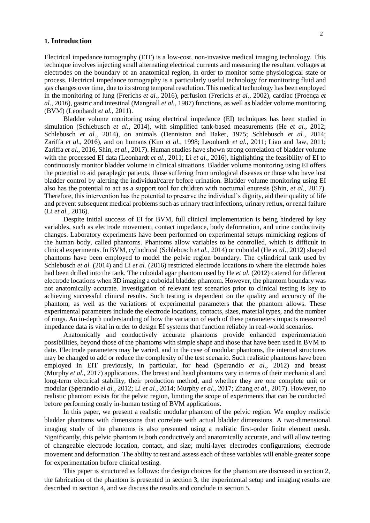# **1. Introduction**

Electrical impedance tomography (EIT) is a low-cost, non-invasive medical imaging technology. This technique involves injecting small alternating electrical currents and measuring the resultant voltages at electrodes on the boundary of an anatomical region, in order to monitor some physiological state or process. Electrical impedance tomography is a particularly useful technology for monitoring fluid and gas changes over time, due to its strong temporal resolution. This medical technology has been employed in the monitoring of lung (Frerichs *et al.*, 2016), perfusion (Frerichs *et al.*, 2002), cardiac (Proença *et al.*, 2016), gastric and intestinal (Mangnall *et al.*, 1987) functions, as well as bladder volume monitoring (BVM) (Leonhardt *et al.*, 2011).

Bladder volume monitoring using electrical impedance (EI) techniques has been studied in simulation (Schlebusch *et al.*, 2014), with simplified tank-based measurements (He *et al.*, 2012; Schlebusch *et al.*, 2014), on animals (Denniston and Baker, 1975; Schlebusch *et al.*, 2014; Zariffa *et al.*, 2016), and on humans (Kim *et al.*, 1998; Leonhardt *et al.*, 2011; Liao and Jaw, 2011; Zariffa *et al.*, 2016, Shin, *et al.*, 2017). Human studies have shown strong correlation of bladder volume with the processed EI data (Leonhardt *et al.*, 2011; Li *et al.*, 2016), highlighting the feasibility of EI to continuously monitor bladder volume in clinical situations. Bladder volume monitoring using EI offers the potential to aid paraplegic patients, those suffering from urological diseases or those who have lost bladder control by alerting the individual/carer before urination. Bladder volume monitoring using EI also has the potential to act as a support tool for children with nocturnal enuresis (Shin, *et al.*, 2017). Therefore, this intervention has the potential to preserve the individual's dignity, aid their quality of life and prevent subsequent medical problems such as urinary tract infections, urinary reflux, or renal failure (Li *et al.*, 2016).

Despite initial success of EI for BVM, full clinical implementation is being hindered by key variables, such as electrode movement, contact impedance, body deformation, and urine conductivity changes. Laboratory experiments have been performed on experimental setups mimicking regions of the human body, called phantoms. Phantoms allow variables to be controlled, which is difficult in clinical experiments. In BVM, cylindrical (Schlebusch *et al.*, 2014) or cuboidal (He *et al.*, 2012) shaped phantoms have been employed to model the pelvic region boundary. The cylindrical tank used by Schlebusch *et al.* (2014) and Li *et al.* (2016) restricted electrode locations to where the electrode holes had been drilled into the tank. The cuboidal agar phantom used by He *et al.* (2012) catered for different electrode locations when 3D imaging a cuboidal bladder phantom. However, the phantom boundary was not anatomically accurate. Investigation of relevant test scenarios prior to clinical testing is key to achieving successful clinical results. Such testing is dependent on the quality and accuracy of the phantom, as well as the variations of experimental parameters that the phantom allows. These experimental parameters include the electrode locations, contacts, sizes, material types, and the number of rings. An in-depth understanding of how the variation of each of these parameters impacts measured impedance data is vital in order to design EI systems that function reliably in real-world scenarios.

Anatomically and conductively accurate phantoms provide enhanced experimentation possibilities, beyond those of the phantoms with simple shape and those that have been used in BVM to date. Electrode parameters may be varied, and in the case of modular phantoms, the internal structures may be changed to add or reduce the complexity of the test scenario. Such realistic phantoms have been employed in EIT previously, in particular, for head (Sperandio *et al*., 2012) and breast (Murphy *et al.*, 2017) applications. The breast and head phantoms vary in terms of their mechanical and long-term electrical stability, their production method, and whether they are one complete unit or modular (Sperandio *el al.*, 2012; Li *et al.*, 2014; Murphy *et al.*, 2017; Zhang *et al.*, 2017). However, no realistic phantom exists for the pelvic region, limiting the scope of experiments that can be conducted before performing costly in-human testing of BVM applications.

In this paper, we present a realistic modular phantom of the pelvic region. We employ realistic bladder phantoms with dimensions that correlate with actual bladder dimensions. A two-dimensional imaging study of the phantoms is also presented using a realistic first-order finite element mesh. Significantly, this pelvic phantom is both conductively and anatomically accurate, and will allow testing of changeable electrode location, contact, and size; multi-layer electrodes configurations; electrode movement and deformation. The ability to test and assess each of these variables will enable greater scope for experimentation before clinical testing.

This paper is structured as follows: the design choices for the phantom are discussed in section 2, the fabrication of the phantom is presented in section 3, the experimental setup and imaging results are described in section 4, and we discuss the results and conclude in section 5.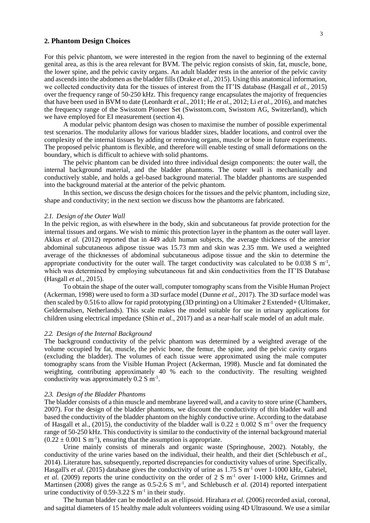# **2. Phantom Design Choices**

For this pelvic phantom, we were interested in the region from the navel to beginning of the external genital area, as this is the area relevant for BVM. The pelvic region consists of skin, fat, muscle, bone, the lower spine, and the pelvic cavity organs. An adult bladder rests in the anterior of the pelvic cavity and ascends into the abdomen as the bladder fills (Drake *et al.*, 2015). Using this anatomical information, we collected conductivity data for the tissues of interest from the IT'IS database (Hasgall *et al.*, 2015) over the frequency range of 50-250 kHz. This frequency range encapsulates the majority of frequencies that have been used in BVM to date (Leonhardt *et al.*, 2011; He *et al.*, 2012; Li *et al.*, 2016), and matches the frequency range of the Swisstom Pioneer Set (Swisstom.com, Swisstom AG, Switzerland), which we have employed for EI measurement (section 4).

A modular pelvic phantom design was chosen to maximise the number of possible experimental test scenarios. The modularity allows for various bladder sizes, bladder locations, and control over the complexity of the internal tissues by adding or removing organs, muscle or bone in future experiments. The proposed pelvic phantom is flexible, and therefore will enable testing of small deformations on the boundary, which is difficult to achieve with solid phantoms.

The pelvic phantom can be divided into three individual design components: the outer wall, the internal background material, and the bladder phantoms. The outer wall is mechanically and conductively stable, and holds a gel-based background material. The bladder phantoms are suspended into the background material at the anterior of the pelvic phantom.

In this section, we discuss the design choices for the tissues and the pelvic phantom, including size, shape and conductivity; in the next section we discuss how the phantoms are fabricated.

## *2.1. Design of the Outer Wall*

In the pelvic region, as with elsewhere in the body, skin and subcutaneous fat provide protection for the internal tissues and organs. We wish to mimic this protection layer in the phantom as the outer wall layer. Akkus *et al.* (2012) reported that in 449 adult human subjects, the average thickness of the anterior abdominal subcutaneous adipose tissue was 15.73 mm and skin was 2.35 mm. We used a weighted average of the thicknesses of abdominal subcutaneous adipose tissue and the skin to determine the appropriate conductivity for the outer wall. The target conductivity was calculated to be  $0.038 \text{ S m}^{-1}$ , which was determined by employing subcutaneous fat and skin conductivities from the IT'IS Database (Hasgall *et al.*, 2015).

To obtain the shape of the outer wall, computer tomography scans from the Visible Human Project (Ackerman, 1998) were used to form a 3D surface model (Dunne *et al.,* 2017). The 3D surface model was then scaled by 0.516 to allow for rapid prototyping (3D printing) on a Ultimaker 2 Extended+ (Ultimaker, Geldermalsen, Netherlands). This scale makes the model suitable for use in urinary applications for children using electrical impedance (Shin *et al.*, 2017) and as a near-half scale model of an adult male.

## *2.2. Design of the Internal Background*

The background conductivity of the pelvic phantom was determined by a weighted average of the volume occupied by fat, muscle, the pelvic bone, the femur, the spine, and the pelvic cavity organs (excluding the bladder). The volumes of each tissue were approximated using the male computer tomography scans from the Visible Human Project (Ackerman, 1998). Muscle and fat dominated the weighting, contributing approximately 40 % each to the conductivity. The resulting weighted conductivity was approximately  $0.2 S m^{-1}$ .

## *2.3. Design of the Bladder Phantoms*

The bladder consists of a thin muscle and membrane layered wall, and a cavity to store urine (Chambers, 2007). For the design of the bladder phantoms, we discount the conductivity of thin bladder wall and based the conductivity of the bladder phantom on the highly conductive urine. According to the database of Hasgall et al., (2015), the conductivity of the bladder wall is  $0.22 \pm 0.002$  S m<sup>-1</sup> over the frequency range of 50-250 kHz. This conductivity is similar to the conductivity of the internal background material  $(0.22 \pm 0.001 \text{ S m}^{-1})$ , ensuring that the assumption is appropriate.

Urine mainly consists of minerals and organic waste (Springhouse, 2002). Notably, the conductivity of the urine varies based on the individual, their health, and their diet (Schlebusch *et al.*, 2014). Literature has, subsequently, reported discrepancies for conductivity values of urine. Specifically, Hasgall's *et al.* (2015) database gives the conductivity of urine as 1.75 S m<sup>-1</sup> over 1-1000 kHz, Gabriel, *et al.* (2009) reports the urine conductivity on the order of 2 S m-1 over 1-1000 kHz, Grimnes and Martinsen (2008) gives the range as 0.5-2.6 S m<sup>-1</sup>, and Schlebusch *et al.* (2014) reported interpatient urine conductivity of  $0.59 - 3.22$  S m<sup>-1</sup> in their study.

The human bladder can be modelled as an ellipsoid. Hirahara *et al.* (2006) recorded axial, coronal, and sagittal diameters of 15 healthy male adult volunteers voiding using 4D Ultrasound. We use a similar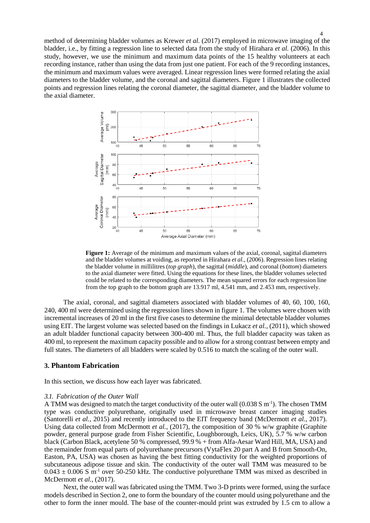method of determining bladder volumes as Krewer *et al.* (2017) employed in microwave imaging of the bladder, i.e., by fitting a regression line to selected data from the study of Hirahara *et al.* (2006). In this study, however, we use the minimum and maximum data points of the 15 healthy volunteers at each recording instance, rather than using the data from just one patient. For each of the 9 recording instances, the minimum and maximum values were averaged. Linear regression lines were formed relating the axial diameters to the bladder volume, and the coronal and sagittal diameters. Figure 1 illustrates the collected points and regression lines relating the coronal diameter, the sagittal diameter, and the bladder volume to the axial diameter.



**Figure 1:** Average of the minimum and maximum values of the axial, coronal, sagittal diameters and the bladder volumes at voiding, as reported in Hirahara *et al.*, (2006). Regression lines relating the bladder volume in millilitres (*top graph*), the sagittal (*middle*), and coronal (*bottom*) diameters to the axial diameter were fitted. Using the equations for these lines, the bladder volumes selected could be related to the corresponding diameters. The mean squared errors for each regression line from the top graph to the bottom graph are 13.917 ml, 4.541 mm, and 2.453 mm, respectively.

The axial, coronal, and sagittal diameters associated with bladder volumes of 40, 60, 100, 160, 240, 400 ml were determined using the regression lines shown in figure 1. The volumes were chosen with incremental increases of 20 ml in the first five cases to determine the minimal detectable bladder volumes using EIT. The largest volume was selected based on the findings in Lukacz *et al.*, (2011), which showed an adult bladder functional capacity between 300-400 ml. Thus, the full bladder capacity was taken as 400 ml, to represent the maximum capacity possible and to allow for a strong contrast between empty and full states. The diameters of all bladders were scaled by 0.516 to match the scaling of the outer wall.

# **3. Phantom Fabrication**

In this section, we discuss how each layer was fabricated.

## *3.1. Fabrication of the Outer Wall*

A TMM was designed to match the target conductivity of the outer wall  $(0.038 S m<sup>-1</sup>)$ . The chosen TMM type was conductive polyurethane, originally used in microwave breast cancer imaging studies (Santorelli *et al.*, 2015) and recently introduced to the EIT frequency band (McDermott *et al.*, 2017). Using data collected from McDermott *et al.*, (2017), the composition of 30 % w/w graphite (Graphite powder, general purpose grade from Fisher Scientific, Loughborough, Leics, UK), 5.7 % w/w carbon black (Carbon Black, acetylene 50 % compressed, 99.9 % + from Alfa-Aesar Ward Hill, MA, USA) and the remainder from equal parts of polyurethane precursors (VytaFlex 20 part A and B from Smooth-On, Easton, PA, USA) was chosen as having the best fitting conductivity for the weighted proportions of subcutaneous adipose tissue and skin. The conductivity of the outer wall TMM was measured to be  $0.043 \pm 0.006$  S m<sup>-1</sup> over 50-250 kHz. The conductive polyurethane TMM was mixed as described in McDermott *et al.*, (2017).

Next, the outer wall was fabricated using the TMM. Two 3-D prints were formed, using the surface models described in Section 2, one to form the boundary of the counter mould using polyurethane and the other to form the inner mould. The base of the counter-mould print was extruded by 1.5 cm to allow a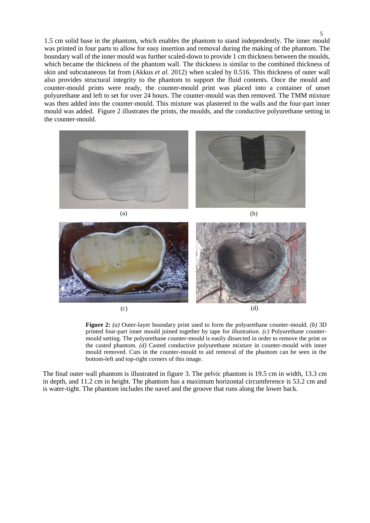1.5 cm solid base in the phantom, which enables the phantom to stand independently. The inner mould was printed in four parts to allow for easy insertion and removal during the making of the phantom. The boundary wall of the inner mould was further scaled-down to provide 1 cm thickness between the moulds, which became the thickness of the phantom wall. The thickness is similar to the combined thickness of skin and subcutaneous fat from (Akkus *et al.* 2012) when scaled by 0.516. This thickness of outer wall also provides structural integrity to the phantom to support the fluid contents. Once the mould and counter-mould prints were ready, the counter-mould print was placed into a container of unset polyurethane and left to set for over 24 hours. The counter-mould was then removed. The TMM mixture was then added into the counter-mould. This mixture was plastered to the walls and the four-part inner mould was added. Figure 2 illustrates the prints, the moulds, and the conductive polyurethane setting in the counter-mould.





**Figure 2:** *(a)* Outer-layer boundary print used to form the polyurethane counter-mould. *(b)* 3D printed four-part inner mould joined together by tape for illustration. *(c)* Polyurethane countermould setting. The polyurethane counter-mould is easily dissected in order to remove the print or the casted phantom. *(d)* Casted conductive polyurethane mixture in counter-mould with inner mould removed. Cuts in the counter-mould to aid removal of the phantom can be seen in the bottom-left and top-right corners of this image.

The final outer wall phantom is illustrated in figure 3. The pelvic phantom is 19.5 cm in width, 13.3 cm in depth, and 11.2 cm in height. The phantom has a maximum horizontal circumference is 53.2 cm and is water-tight. The phantom includes the navel and the groove that runs along the lower back.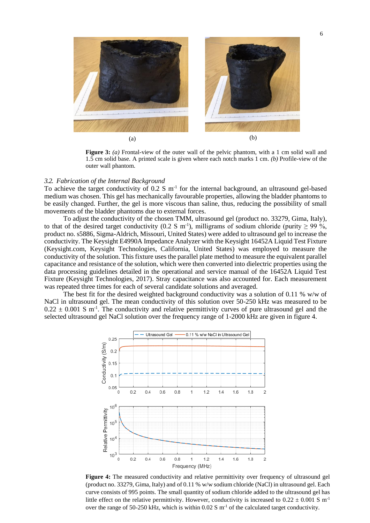

**Figure 3:** *(a)* Frontal-view of the outer wall of the pelvic phantom, with a 1 cm solid wall and 1.5 cm solid base. A printed scale is given where each notch marks 1 cm. *(b)* Profile-view of the outer wall phantom.

#### *3.2. Fabrication of the Internal Background*

To achieve the target conductivity of  $0.2 \text{ S m}^{-1}$  for the internal background, an ultrasound gel-based medium was chosen. This gel has mechanically favourable properties, allowing the bladder phantoms to be easily changed. Further, the gel is more viscous than saline, thus, reducing the possibility of small movements of the bladder phantoms due to external forces.

To adjust the conductivity of the chosen TMM, ultrasound gel (product no. 33279, Gima, Italy), to that of the desired target conductivity (0.2 S m<sup>-1</sup>), milligrams of sodium chloride (purity  $\geq$  99 %, product no. s5886, Sigma-Aldrich, Missouri, United States) were added to ultrasound gel to increase the conductivity. The Keysight E4990A Impedance Analyzer with the Keysight 16452A Liquid Test Fixture (Keysight.com, Keysight Technologies, California, United States) was employed to measure the conductivity of the solution. This fixture uses the parallel plate method to measure the equivalent parallel capacitance and resistance of the solution, which were then converted into dielectric properties using the data processing guidelines detailed in the operational and service manual of the 16452A Liquid Test Fixture (Keysight Technologies, 2017). Stray capacitance was also accounted for. Each measurement was repeated three times for each of several candidate solutions and averaged.

The best fit for the desired weighted background conductivity was a solution of 0.11 % w/w of NaCl in ultrasound gel. The mean conductivity of this solution over 50-250 kHz was measured to be  $0.22 \pm 0.001$  S m<sup>-1</sup>. The conductivity and relative permittivity curves of pure ultrasound gel and the selected ultrasound gel NaCl solution over the frequency range of 1-2000 kHz are given in figure 4.



Figure 4: The measured conductivity and relative permittivity over frequency of ultrasound gel (product no. 33279, Gima, Italy) and of 0.11 % w/w sodium chloride (NaCl) in ultrasound gel. Each curve consists of 995 points. The small quantity of sodium chloride added to the ultrasound gel has little effect on the relative permittivity. However, conductivity is increased to  $0.22 \pm 0.001$  S m<sup>-1</sup> over the range of 50-250 kHz, which is within 0.02 S  $m^{-1}$  of the calculated target conductivity.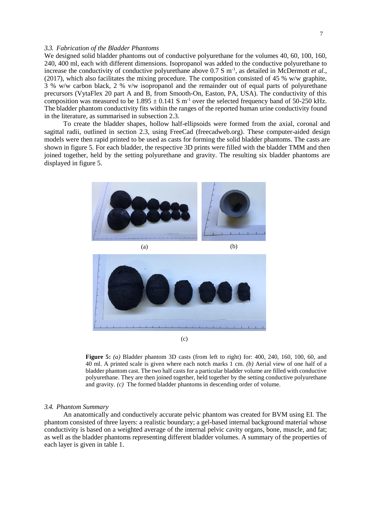## *3.3. Fabrication of the Bladder Phantoms*

We designed solid bladder phantoms out of conductive polyurethane for the volumes 40, 60, 100, 160, 240, 400 ml, each with different dimensions. Isopropanol was added to the conductive polyurethane to increase the conductivity of conductive polyurethane above 0.7 S m<sup>-1</sup>, as detailed in McDermott *et al.*, (2017), which also facilitates the mixing procedure. The composition consisted of 45 %  $w/w$  graphite, 3 % w/w carbon black, 2 % v/w isopropanol and the remainder out of equal parts of polyurethane precursors (VytaFlex 20 part A and B, from Smooth-On, Easton, PA, USA). The conductivity of this composition was measured to be  $1.895 \pm 0.141$  S m<sup>-1</sup> over the selected frequency band of 50-250 kHz. The bladder phantom conductivity fits within the ranges of the reported human urine conductivity found in the literature, as summarised in subsection 2.3.

To create the bladder shapes, hollow half-ellipsoids were formed from the axial, coronal and sagittal radii, outlined in section 2.3, using FreeCad (freecadweb.org). These computer-aided design models were then rapid printed to be used as casts for forming the solid bladder phantoms. The casts are shown in figure 5. For each bladder, the respective 3D prints were filled with the bladder TMM and then joined together, held by the setting polyurethane and gravity. The resulting six bladder phantoms are displayed in figure 5.



**Figure 5:** *(a)* Bladder phantom 3D casts (from left to right) for: 400, 240, 160, 100, 60, and 40 ml. A printed scale is given where each notch marks 1 cm. *(b)* Aerial view of one half of a bladder phantom cast. The two half casts for a particular bladder volume are filled with conductive polyurethane. They are then joined together, held together by the setting conductive polyurethane and gravity. *(c)* The formed bladder phantoms in descending order of volume. (c)

## *3.4. Phantom Summary*

An anatomically and conductively accurate pelvic phantom was created for BVM using EI. The phantom consisted of three layers: a realistic boundary; a gel-based internal background material whose conductivity is based on a weighted average of the internal pelvic cavity organs, bone, muscle, and fat; as well as the bladder phantoms representing different bladder volumes. A summary of the properties of each layer is given in table 1.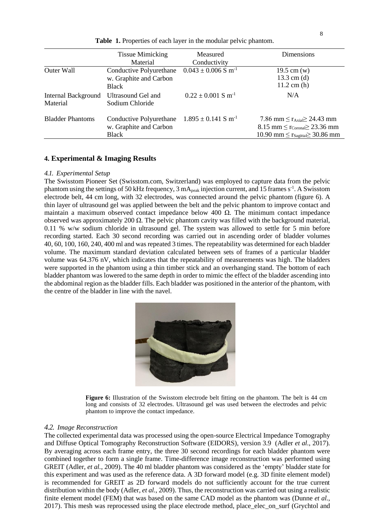|                                                    | <b>Tissue Mimicking</b><br>Material                                                                   | Measured<br>Conductivity            | Dimensions                                                                                                                                                 |
|----------------------------------------------------|-------------------------------------------------------------------------------------------------------|-------------------------------------|------------------------------------------------------------------------------------------------------------------------------------------------------------|
| Outer Wall                                         | Conductive Polyurethane<br>w. Graphite and Carbon<br>Black                                            | $0.043 \pm 0.006$ S m <sup>-1</sup> | 19.5 cm $(w)$<br>13.3 cm $(d)$<br>$11.2 \text{ cm (h)}$                                                                                                    |
| Internal Background Ultrasound Gel and<br>Material | Sodium Chloride                                                                                       | $0.22 \pm 0.001$ S m <sup>-1</sup>  | N/A                                                                                                                                                        |
| <b>Bladder Phantoms</b>                            | Conductive Polyurethane $1.895 \pm 0.141$ S m <sup>-1</sup><br>w. Graphite and Carbon<br><b>Black</b> |                                     | 7.86 mm $\leq$ r <sub>Axial</sub> 24.43 mm<br>8.15 mm $\leq$ r <sub>Coronal</sub> $\geq$ 23.36 mm<br>10.90 mm $\leq$ r <sub>Sagittal</sub> $\geq$ 30.86 mm |

**Table 1.** Properties of each layer in the modular pelvic phantom.

## **4. Experimental & Imaging Results**

#### *4.1. Experimental Setup*

The Swisstom Pioneer Set (Swisstom.com, Switzerland) was employed to capture data from the pelvic phantom using the settings of 50 kHz frequency,  $3 \text{ mA}_{peak}$  injection current, and 15 frames s<sup>-1</sup>. A Swisstom electrode belt, 44 cm long, with 32 electrodes, was connected around the pelvic phantom (figure 6). A thin layer of ultrasound gel was applied between the belt and the pelvic phantom to improve contact and maintain a maximum observed contact impedance below 400  $Ω$ . The minimum contact impedance observed was approximately 200 Ω. The pelvic phantom cavity was filled with the background material, 0.11 % w/w sodium chloride in ultrasound gel. The system was allowed to settle for 5 min before recording started. Each 30 second recording was carried out in ascending order of bladder volumes 40, 60, 100, 160, 240, 400 ml and was repeated 3 times. The repeatability was determined for each bladder volume. The maximum standard deviation calculated between sets of frames of a particular bladder volume was 64.376 nV, which indicates that the repeatability of measurements was high. The bladders were supported in the phantom using a thin timber stick and an overhanging stand. The bottom of each bladder phantom was lowered to the same depth in order to mimic the effect of the bladder ascending into the abdominal region as the bladder fills. Each bladder was positioned in the anterior of the phantom, with the centre of the bladder in line with the navel.



**Figure 6:** Illustration of the Swisstom electrode belt fitting on the phantom. The belt is 44 cm long and consists of 32 electrodes. Ultrasound gel was used between the electrodes and pelvic phantom to improve the contact impedance.

## *4.2. Image Reconstruction*

The collected experimental data was processed using the open-source Electrical Impedance Tomography and Diffuse Optical Tomography Reconstruction Software (EIDORS), version 3.9 (Adler *et al.*, 2017). By averaging across each frame entry, the three 30 second recordings for each bladder phantom were combined together to form a single frame. Time-difference image reconstruction was performed using GREIT (Adler, *et al.*, 2009). The 40 ml bladder phantom was considered as the 'empty' bladder state for this experiment and was used as the reference data. A 3D forward model (e.g. 3D finite element model) is recommended for GREIT as 2D forward models do not sufficiently account for the true current distribution within the body (Adler, *et al.*, 2009). Thus, the reconstruction was carried out using a realistic finite element model (FEM) that was based on the same CAD model as the phantom was (Dunne *et al.*, 2017). This mesh was reprocessed using the place electrode method, place\_elec\_on\_surf (Grychtol and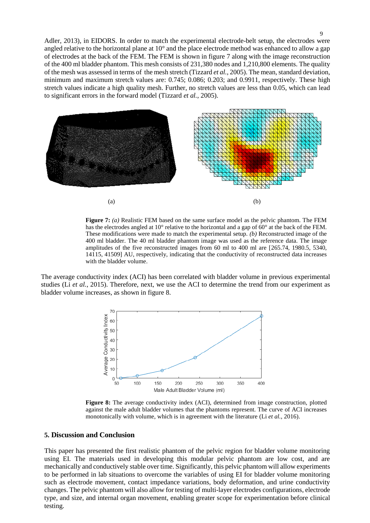Adler, 2013), in EIDORS. In order to match the experimental electrode-belt setup, the electrodes were angled relative to the horizontal plane at  $10^{\circ}$  and the place electrode method was enhanced to allow a gap of electrodes at the back of the FEM. The FEM is shown in figure 7 along with the image reconstruction of the 400 ml bladder phantom. This mesh consists of 231,380 nodes and 1,210,800 elements. The quality of the mesh was assessed in terms of the mesh stretch (Tizzard *et al.*, 2005). The mean, standard deviation, minimum and maximum stretch values are: 0.745; 0.086; 0.203; and 0.9911, respectively. These high stretch values indicate a high quality mesh. Further, no stretch values are less than 0.05, which can lead to significant errors in the forward model (Tizzard *et al.*, 2005).



**Figure 7:** *(a)* Realistic FEM based on the same surface model as the pelvic phantom. The FEM has the electrodes angled at 10° relative to the horizontal and a gap of 60° at the back of the FEM. These modifications were made to match the experimental setup. *(b)* Reconstructed image of the 400 ml bladder. The 40 ml bladder phantom image was used as the reference data. The image amplitudes of the five reconstructed images from 60 ml to 400 ml are [265.74, 1980.5, 5340, 14115, 41509] AU, respectively, indicating that the conductivity of reconstructed data increases with the bladder volume.

The average conductivity index (ACI) has been correlated with bladder volume in previous experimental studies (Li *et al.*, 2015). Therefore, next, we use the ACI to determine the trend from our experiment as bladder volume increases, as shown in figure 8.



**Figure 8:** The average conductivity index (ACI), determined from image construction, plotted against the male adult bladder volumes that the phantoms represent. The curve of ACI increases monotonically with volume, which is in agreement with the literature (Li *et al.*, 2016).

# **5. Discussion and Conclusion**

This paper has presented the first realistic phantom of the pelvic region for bladder volume monitoring using EI. The materials used in developing this modular pelvic phantom are low cost, and are mechanically and conductively stable over time. Significantly, this pelvic phantom will allow experiments to be performed in lab situations to overcome the variables of using EI for bladder volume monitoring such as electrode movement, contact impedance variations, body deformation, and urine conductivity changes. The pelvic phantom will also allow for testing of multi-layer electrodes configurations, electrode type, and size, and internal organ movement, enabling greater scope for experimentation before clinical testing.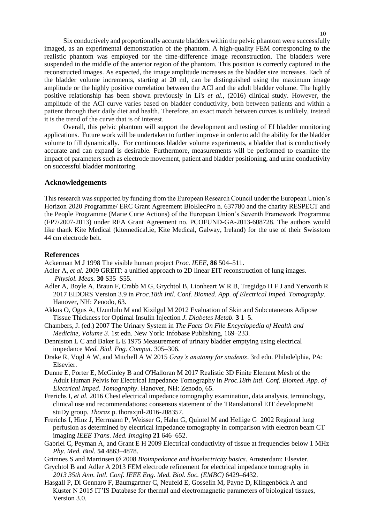Six conductively and proportionally accurate bladders within the pelvic phantom were successfully imaged, as an experimental demonstration of the phantom. A high-quality FEM corresponding to the realistic phantom was employed for the time-difference image reconstruction. The bladders were suspended in the middle of the anterior region of the phantom. This position is correctly captured in the reconstructed images. As expected, the image amplitude increases as the bladder size increases. Each of the bladder volume increments, starting at 20 ml, can be distinguished using the maximum image amplitude or the highly positive correlation between the ACI and the adult bladder volume. The highly positive relationship has been shown previously in Li's *et al.*, (2016) clinical study. However, the amplitude of the ACI curve varies based on bladder conductivity, both between patients and within a patient through their daily diet and health. Therefore, an exact match between curves is unlikely, instead it is the trend of the curve that is of interest.

Overall, this pelvic phantom will support the development and testing of EI bladder monitoring applications. Future work will be undertaken to further improve in order to add the ability for the bladder volume to fill dynamically. For continuous bladder volume experiments, a bladder that is conductively accurate and can expand is desirable. Furthermore, measurements will be performed to examine the impact of parameters such as electrode movement, patient and bladder positioning, and urine conductivity on successful bladder monitoring.

## **Acknowledgements**

This research was supported by funding from the European Research Council under the European Union's Horizon 2020 Programme/ ERC Grant Agreement BioElecPro n. 637780 and the charity RESPECT and the People Programme (Marie Curie Actions) of the European Union's Seventh Framework Programme (FP7/2007-2013) under REA Grant Agreement no. PCOFUND-GA-2013-608728. The authors would like thank Kite Medical (kitemedical.ie, Kite Medical, Galway, Ireland) for the use of their Swisstom 44 cm electrode belt.

### **References**

Ackerman M J 1998 The visible human project *Proc. IEEE*, **86** 504–511.

- Adler A, *et al.* 2009 GREIT: a unified approach to 2D linear EIT reconstruction of lung images.  *Physiol. Meas.* **30** S35–S55.
- Adler A, Boyle A, Braun F, Crabb M G, Grychtol B, Lionheart W R B, Tregidgo H F J and Yerworth R 2017 EIDORS Version 3.9 in *Proc.18th Intl. Conf. Biomed. App. of Electrical Imped. Tomography*. Hanover, NH: Zenodo, 63.
- Akkus O, Ogus A, Uzunlulu M and Kizilgul M 2012 Evaluation of Skin and Subcutaneous Adipose Tissue Thickness for Optimal Insulin Injection *J. Diabetes Metab.* **3** 1–5.
- Chambers, J. (ed.) 2007 The Urinary System in *The Facts On File Encyclopedia of Health and Medicine, Volume 3*. 1st edn. New York: Infobase Publishing, 169–233.
- Denniston L C and Baker L E 1975 Measurement of urinary bladder emptying using electrical impedance *Med. Biol. Eng. Comput.* 305–306.
- Drake R, Vogl A W, and Mitchell A W 2015 *Gray's anatomy for students*. 3rd edn. Philadelphia, PA: Elsevier.
- Dunne E, Porter E, McGinley B and O'Halloran M 2017 Realistic 3D Finite Element Mesh of the Adult Human Pelvis for Electrical Impedance Tomography in *Proc.18th Intl. Conf. Biomed. App. of Electrical Imped. Tomography*. Hanover, NH: Zenodo, 65.
- Frerichs I, *et al.* 2016 Chest electrical impedance tomography examination, data analysis, terminology, clinical use and recommendations: consensus statement of the TRanslational EIT developmeNt stuDy group. *Thorax* p. thoraxjnl-2016-208357.
- Frerichs I, Hinz J, Herrmann P, Weisser G, Hahn G, Quintel M and Hellige G 2002 Regional lung perfusion as determined by electrical impedance tomography in comparison with electron beam CT imaging *IEEE Trans. Med. Imaging* **21** 646–652.
- Gabriel C, Peyman A, and Grant E H 2009 Electrical conductivity of tissue at frequencies below 1 MHz  *Phy. Med. Biol.* **54** 4863–4878.
- Grimnes S and Martinsen Ø 2008 *Bioimpedance and bioelectricity basics*. Amsterdam: Elsevier.
- Grychtol B and Adler A 2013 FEM electrode refinement for electrical impedance tomography in  *2013 35th Ann. Intl. Conf. IEEE Eng. Med. Biol. Soc. (EMBC)* 6429–6432.
- Hasgall P, Di Gennaro F, Baumgartner C, Neufeld E, Gosselin M, Payne D, Klingenböck A and Kuster N 2015 IT'IS Database for thermal and electromagnetic parameters of biological tissues, Version 3.0.